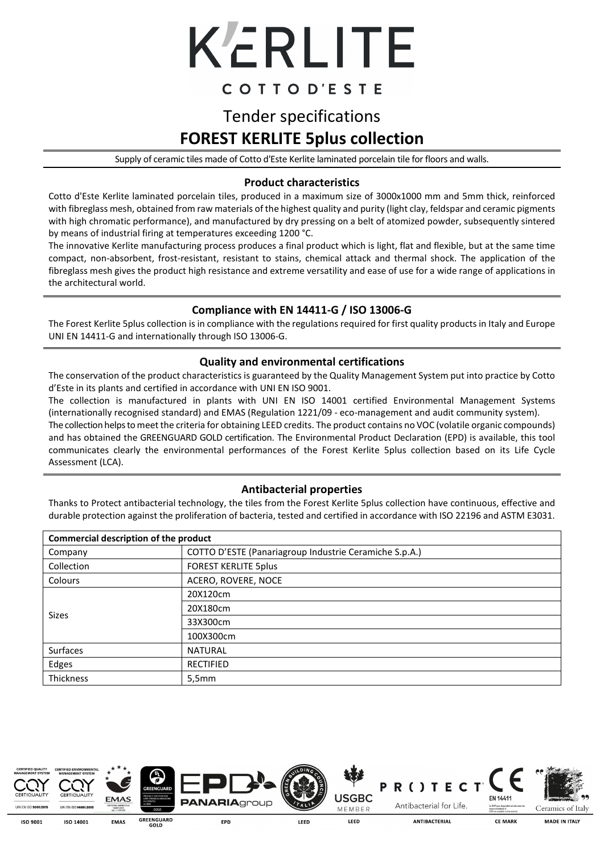

### COTTOD'ESTE

# Tender specifications **FOREST KERLITE 5plus collection**

Supply of ceramic tiles made of Cotto d'Este Kerlite laminated porcelain tile for floors and walls.

#### **Product characteristics**

Cotto d'Este Kerlite laminated porcelain tiles, produced in a maximum size of 3000x1000 mm and 5mm thick, reinforced with fibreglass mesh, obtained from raw materials of the highest quality and purity (light clay, feldspar and ceramic pigments with high chromatic performance), and manufactured by dry pressing on a belt of atomized powder, subsequently sintered by means of industrial firing at temperatures exceeding 1200 °C.

The innovative Kerlite manufacturing process produces a final product which is light, flat and flexible, but at the same time compact, non-absorbent, frost-resistant, resistant to stains, chemical attack and thermal shock. The application of the fibreglass mesh gives the product high resistance and extreme versatility and ease of use for a wide range of applications in the architectural world.

#### **Compliance with EN 14411-G / ISO 13006-G**

The Forest Kerlite 5plus collection is in compliance with the regulations required for first quality products in Italy and Europe UNI EN 14411-G and internationally through ISO 13006-G.

#### **Quality and environmental certifications**

The conservation of the product characteristics is guaranteed by the Quality Management System put into practice by Cotto d'Este in its plants and certified in accordance with UNI EN ISO 9001.

The collection is manufactured in plants with UNI EN ISO 14001 certified Environmental Management Systems (internationally recognised standard) and EMAS (Regulation 1221/09 - eco-management and audit community system).

The collection helps to meet the criteria for obtaining LEED credits. The product contains no VOC (volatile organic compounds) and has obtained the GREENGUARD GOLD certification. The Environmental Product Declaration (EPD) is available, this tool communicates clearly the environmental performances of the Forest Kerlite 5plus collection based on its Life Cycle Assessment (LCA).

### **Antibacterial properties**

Thanks to Protect antibacterial technology, the tiles from the Forest Kerlite 5plus collection have continuous, effective and durable protection against the proliferation of bacteria, tested and certified in accordance with ISO 22196 and ASTM E3031.

| Commercial description of the product |                                                        |  |  |  |
|---------------------------------------|--------------------------------------------------------|--|--|--|
| Company                               | COTTO D'ESTE (Panariagroup Industrie Ceramiche S.p.A.) |  |  |  |
| Collection                            | <b>FOREST KERLITE 5plus</b>                            |  |  |  |
| Colours                               | ACERO, ROVERE, NOCE                                    |  |  |  |
|                                       | 20X120cm                                               |  |  |  |
| Sizes                                 | 20X180cm                                               |  |  |  |
|                                       | 33X300cm                                               |  |  |  |
|                                       | 100X300cm                                              |  |  |  |
| <b>Surfaces</b>                       | <b>NATURAL</b>                                         |  |  |  |
| Edges                                 | <b>RECTIFIED</b>                                       |  |  |  |
| Thickness                             | 5,5mm                                                  |  |  |  |